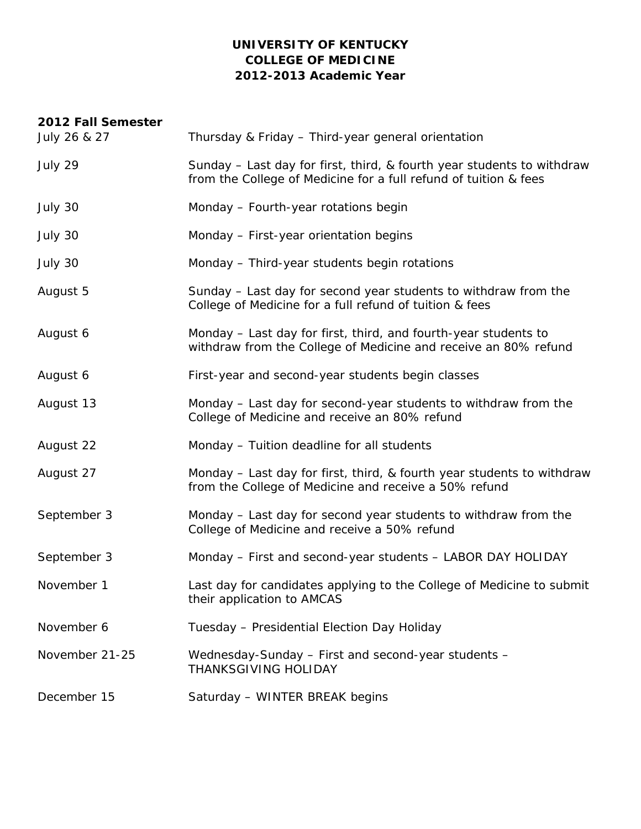## **UNIVERSITY OF KENTUCKY COLLEGE OF MEDICINE 2012-2013 Academic Year**

| 2012 Fall Semester |                                                                                                                                            |
|--------------------|--------------------------------------------------------------------------------------------------------------------------------------------|
| July 26 & 27       | Thursday & Friday - Third-year general orientation                                                                                         |
| July 29            | Sunday – Last day for first, third, & fourth year students to withdraw<br>from the College of Medicine for a full refund of tuition & fees |
| July 30            | Monday - Fourth-year rotations begin                                                                                                       |
| July 30            | Monday - First-year orientation begins                                                                                                     |
| July 30            | Monday - Third-year students begin rotations                                                                                               |
| August 5           | Sunday – Last day for second year students to withdraw from the<br>College of Medicine for a full refund of tuition & fees                 |
| August 6           | Monday – Last day for first, third, and fourth-year students to<br>withdraw from the College of Medicine and receive an 80% refund         |
| August 6           | First-year and second-year students begin classes                                                                                          |
| August 13          | Monday - Last day for second-year students to withdraw from the<br>College of Medicine and receive an 80% refund                           |
| August 22          | Monday - Tuition deadline for all students                                                                                                 |
| August 27          | Monday – Last day for first, third, & fourth year students to withdraw<br>from the College of Medicine and receive a 50% refund            |
| September 3        | Monday - Last day for second year students to withdraw from the<br>College of Medicine and receive a 50% refund                            |
| September 3        | Monday - First and second-year students - LABOR DAY HOLIDAY                                                                                |
| November 1         | Last day for candidates applying to the College of Medicine to submit<br>their application to AMCAS                                        |
| November 6         | Tuesday - Presidential Election Day Holiday                                                                                                |
| November 21-25     | Wednesday-Sunday - First and second-year students -<br><b>THANKSGIVING HOLIDAY</b>                                                         |
| December 15        | Saturday - WINTER BREAK begins                                                                                                             |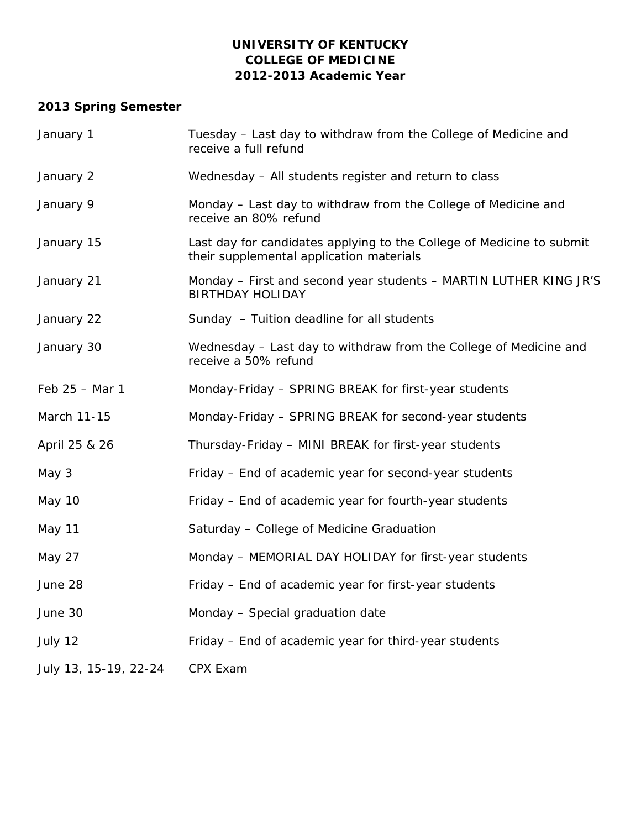### **UNIVERSITY OF KENTUCKY COLLEGE OF MEDICINE 2012-2013 Academic Year**

# **2013 Spring Semester**

| January 1             | Tuesday - Last day to withdraw from the College of Medicine and<br>receive a full refund                          |
|-----------------------|-------------------------------------------------------------------------------------------------------------------|
| January 2             | Wednesday - All students register and return to class                                                             |
| January 9             | Monday - Last day to withdraw from the College of Medicine and<br>receive an 80% refund                           |
| January 15            | Last day for candidates applying to the College of Medicine to submit<br>their supplemental application materials |
| January 21            | Monday - First and second year students - MARTIN LUTHER KING JR'S<br><b>BIRTHDAY HOLIDAY</b>                      |
| January 22            | Sunday - Tuition deadline for all students                                                                        |
| January 30            | Wednesday - Last day to withdraw from the College of Medicine and<br>receive a 50% refund                         |
| Feb 25 - Mar 1        | Monday-Friday - SPRING BREAK for first-year students                                                              |
| March 11-15           | Monday-Friday - SPRING BREAK for second-year students                                                             |
| April 25 & 26         | Thursday-Friday - MINI BREAK for first-year students                                                              |
| May 3                 | Friday – End of academic year for second-year students                                                            |
| May 10                | Friday - End of academic year for fourth-year students                                                            |
| May 11                | Saturday - College of Medicine Graduation                                                                         |
| May 27                | Monday - MEMORIAL DAY HOLIDAY for first-year students                                                             |
| June 28               | Friday - End of academic year for first-year students                                                             |
| June 30               | Monday - Special graduation date                                                                                  |
| July 12               | Friday – End of academic year for third-year students                                                             |
| July 13, 15-19, 22-24 | CPX Exam                                                                                                          |